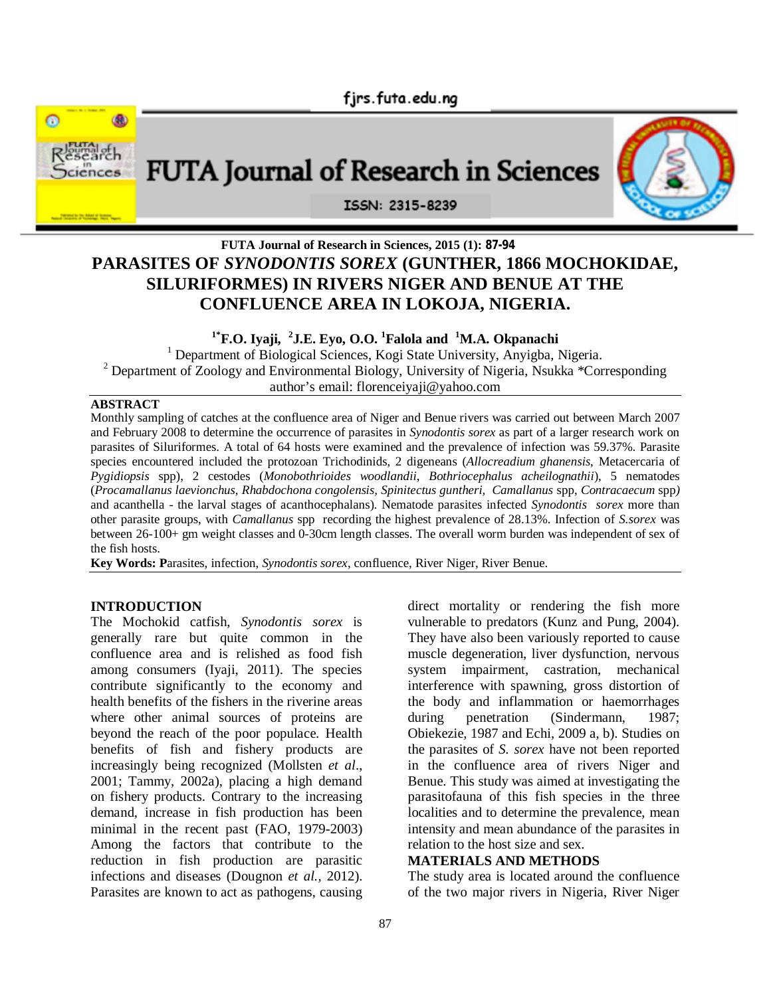



# **FUTA Journal of Research in Sciences, 2015 (1): 87-94 PARASITES OF** *SYNODONTIS SOREX* **(GUNTHER, 1866 MOCHOKIDAE, SILURIFORMES) IN RIVERS NIGER AND BENUE AT THE CONFLUENCE AREA IN LOKOJA, NIGERIA.**

**1\*F.O. Iyaji, <sup>2</sup> J.E. Eyo, O.O. <sup>1</sup>Falola and <sup>1</sup>M.A. Okpanachi**

<sup>1</sup> Department of Biological Sciences, Kogi State University, Anyigba, Nigeria. <sup>2</sup> Department of Zoology and Environmental Biology, University of Nigeria, Nsukka \*Corresponding author's email: florenceiyaji@yahoo.com

#### **ABSTRACT**

Monthly sampling of catches at the confluence area of Niger and Benue rivers was carried out between March 2007 and February 2008 to determine the occurrence of parasites in *Synodontis sorex* as part of a larger research work on parasites of Siluriformes. A total of 64 hosts were examined and the prevalence of infection was 59.37%. Parasite species encountered included the protozoan Trichodinids, 2 digeneans (*Allocreadium ghanensis*, Metacercaria of *Pygidiopsis* spp), 2 cestodes (*Monobothrioides woodlandii*, *Bothriocephalus acheilognathii*), 5 nematodes (*Procamallanus laevionchus, Rhabdochona congolensis, Spinitectus guntheri, Camallanus* spp, *Contracaecum* spp*)* and acanthella - the larval stages of acanthocephalans). Nematode parasites infected *Synodontis sorex* more than other parasite groups, with *Camallanus* spp recording the highest prevalence of 28.13%. Infection of *S.sorex* was between 26-100+ gm weight classes and 0-30cm length classes. The overall worm burden was independent of sex of the fish hosts.

**Key Words: P**arasites, infection, *Synodontis sorex*, confluence, River Niger, River Benue.

#### **INTRODUCTION**

The Mochokid catfish, *Synodontis sorex* is generally rare but quite common in the confluence area and is relished as food fish among consumers (Iyaji, 2011). The species contribute significantly to the economy and health benefits of the fishers in the riverine areas where other animal sources of proteins are beyond the reach of the poor populace. Health benefits of fish and fishery products are increasingly being recognized (Mollsten *et al*., 2001; Tammy, 2002a), placing a high demand on fishery products. Contrary to the increasing demand, increase in fish production has been minimal in the recent past (FAO, 1979-2003) Among the factors that contribute to the reduction in fish production are parasitic infections and diseases (Dougnon *et al.,* 2012). Parasites are known to act as pathogens, causing

direct mortality or rendering the fish more vulnerable to predators (Kunz and Pung, 2004). They have also been variously reported to cause muscle degeneration, liver dysfunction, nervous system impairment, castration, mechanical interference with spawning, gross distortion of the body and inflammation or haemorrhages during penetration (Sindermann, 1987; Obiekezie, 1987 and Echi, 2009 a, b). Studies on the parasites of *S. sorex* have not been reported in the confluence area of rivers Niger and Benue. This study was aimed at investigating the parasitofauna of this fish species in the three localities and to determine the prevalence, mean intensity and mean abundance of the parasites in relation to the host size and sex.

### **MATERIALS AND METHODS**

The study area is located around the confluence of the two major rivers in Nigeria, River Niger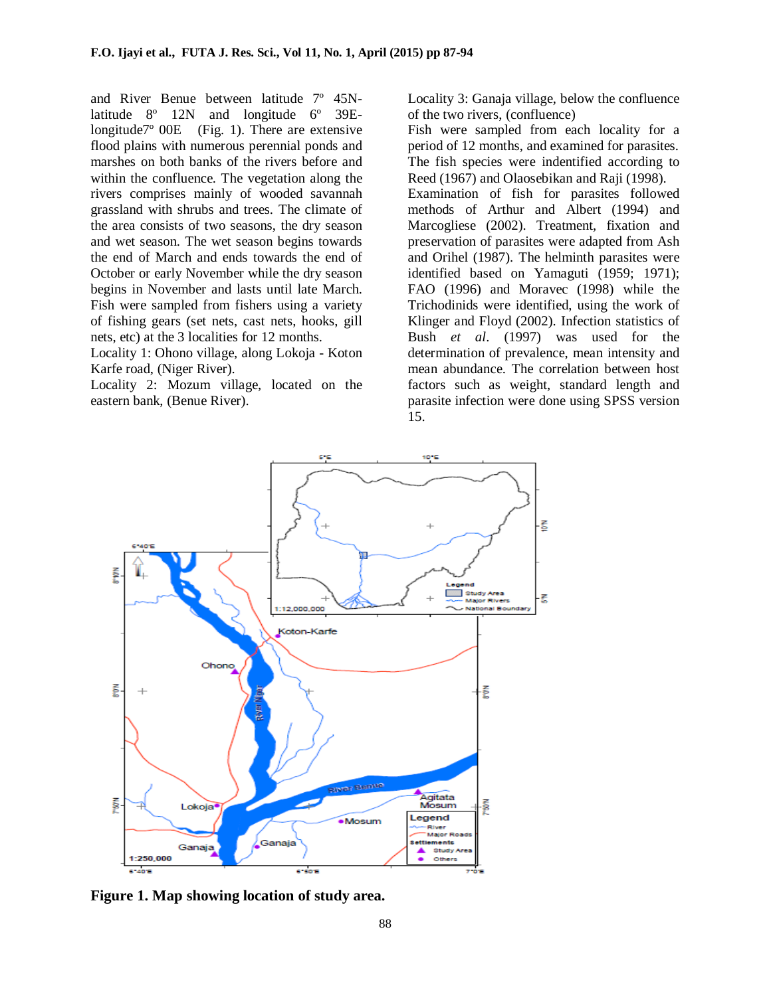and River Benue between latitude 7º 45Nlatitude 8º 12N and longitude 6º 39Elongitude7º 00E (Fig. 1). There are extensive flood plains with numerous perennial ponds and marshes on both banks of the rivers before and within the confluence. The vegetation along the rivers comprises mainly of wooded savannah grassland with shrubs and trees. The climate of the area consists of two seasons, the dry season and wet season. The wet season begins towards the end of March and ends towards the end of October or early November while the dry season begins in November and lasts until late March. Fish were sampled from fishers using a variety of fishing gears (set nets, cast nets, hooks, gill nets, etc) at the 3 localities for 12 months.

Locality 1: Ohono village, along Lokoja - Koton Karfe road, (Niger River).

Locality 2: Mozum village, located on the eastern bank, (Benue River).

Locality 3: Ganaja village, below the confluence of the two rivers, (confluence)

Fish were sampled from each locality for a period of 12 months, and examined for parasites. The fish species were indentified according to Reed (1967) and Olaosebikan and Raji (1998).

Examination of fish for parasites followed methods of Arthur and Albert (1994) and Marcogliese (2002). Treatment, fixation and preservation of parasites were adapted from Ash and Orihel (1987). The helminth parasites were identified based on Yamaguti (1959; 1971); FAO (1996) and Moravec (1998) while the Trichodinids were identified, using the work of Klinger and Floyd (2002). Infection statistics of Bush *et al*. (1997) was used for the determination of prevalence, mean intensity and mean abundance. The correlation between host factors such as weight, standard length and parasite infection were done using SPSS version 15.



**Figure 1. Map showing location of study area.**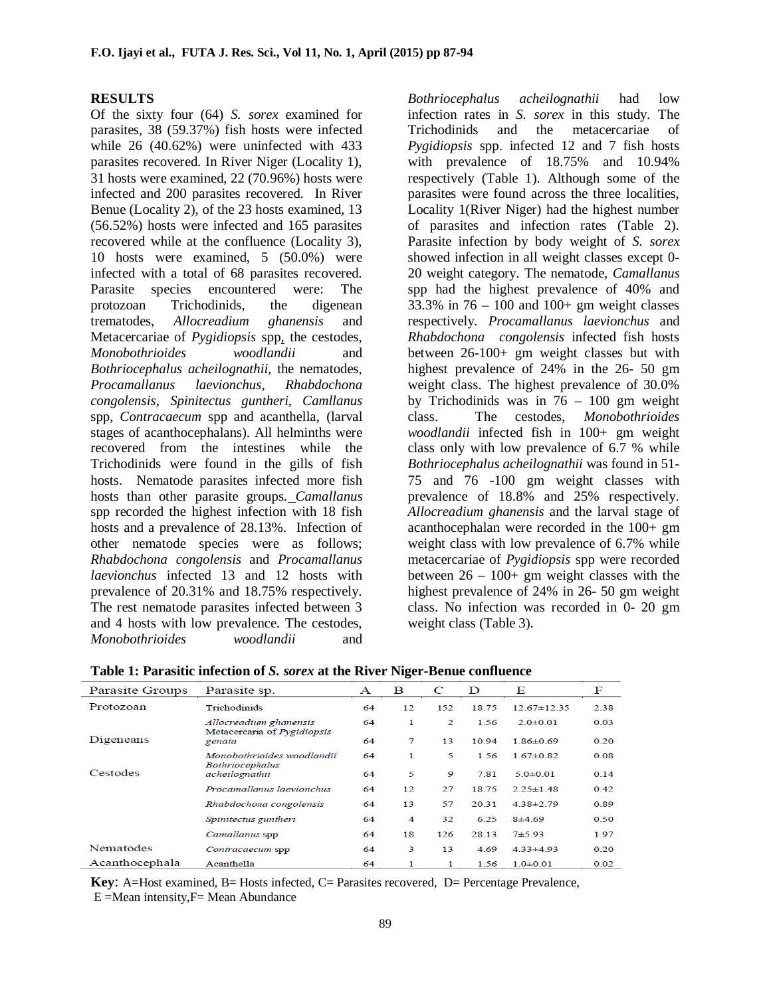### **RESULTS**

Of the sixty four (64) *S. sorex* examined for parasites, 38 (59.37%) fish hosts were infected while 26 (40.62%) were uninfected with 433 parasites recovered. In River Niger (Locality 1), 31 hosts were examined, 22 (70.96%) hosts were infected and 200 parasites recovered. In River Benue (Locality 2), of the 23 hosts examined, 13 (56.52%) hosts were infected and 165 parasites recovered while at the confluence (Locality 3), 10 hosts were examined, 5 (50.0%) were infected with a total of 68 parasites recovered. Parasite species encountered were: The protozoan Trichodinids, the digenean trematodes, *Allocreadium ghanensis* and Metacercariae of *Pygidiopsis* spp, the cestodes*, Monobothrioides woodlandii* and *Bothriocephalus acheilognathii,* the nematodes, *Procamallanus laevionchus, Rhabdochona congolensis, Spinitectus guntheri, Camllanus*  spp, *Contracaecum* spp and acanthella, (larval stages of acanthocephalans). All helminths were recovered from the intestines while the Trichodinids were found in the gills of fish hosts. Nematode parasites infected more fish hosts than other parasite groups*. Camallanus* spp recorded the highest infection with 18 fish hosts and a prevalence of 28.13%. Infection of other nematode species were as follows; *Rhabdochona congolensis* and *Procamallanus laevionchus* infected 13 and 12 hosts with prevalence of 20.31% and 18.75% respectively. The rest nematode parasites infected between 3 and 4 hosts with low prevalence. The cestodes, *Monobothrioides woodlandii* and

*Bothriocephalus acheilognathii* had low infection rates in *S. sorex* in this study. The Trichodinids and the metacercariae of *Pygidiopsis* spp. infected 12 and 7 fish hosts with prevalence of 18.75% and 10.94% respectively (Table 1). Although some of the parasites were found across the three localities, Locality 1(River Niger) had the highest number of parasites and infection rates (Table 2). Parasite infection by body weight of *S. sorex*  showed infection in all weight classes except 0- 20 weight category. The nematode*, Camallanus* spp had the highest prevalence of 40% and 33.3% in  $76 - 100$  and  $100+$  gm weight classes respectively*. Procamallanus laevionchus* and *Rhabdochona congolensis* infected fish hosts between 26-100+ gm weight classes but with highest prevalence of 24% in the 26- 50 gm weight class. The highest prevalence of 30.0% by Trichodinids was in  $76 - 100$  gm weight class. The cestodes, *Monobothrioides woodlandii* infected fish in 100+ gm weight class only with low prevalence of 6.7 % while *Bothriocephalus acheilognathii* was found in 51- 75 and 76 -100 gm weight classes with prevalence of 18.8% and 25% respectively. *Allocreadium ghanensis* and the larval stage of acanthocephalan were recorded in the 100+ gm weight class with low prevalence of 6.7% while metacercariae of *Pygidiopsis* spp were recorded between  $26 - 100$ + gm weight classes with the highest prevalence of 24% in 26- 50 gm weight class. No infection was recorded in 0- 20 gm weight class (Table 3).

| Parasite Groups | Parasite sp.                                                 | A  | в  | C              | D     | Е                 | F    |
|-----------------|--------------------------------------------------------------|----|----|----------------|-------|-------------------|------|
| Protozoan       | <b>Trichodinids</b>                                          | 64 | 12 | 152            | 18.75 | $12.67 \pm 12.35$ | 2.38 |
|                 | Allocreadium ghanensis<br>Metacercaria of <i>Pygidiopsis</i> | 64 | 1  | $\overline{2}$ | 1.56  | $2.0 \pm 0.01$    | 0.03 |
| Digeneans       | genata                                                       | 64 | 7  | 13             | 1094  | 186±069           | 0.20 |
|                 | Monobothrioides woodlandii                                   | 64 | 1  | 5              | 1.56  | $1.67 \pm 0.82$   | 0.08 |
| Cestodes        | <b>Bothriocephalus</b><br>acheilognathii                     | 64 | 5  | 9              | 7.81  | $5.0 + 0.01$      | 0.14 |
|                 | Procamallanus laevionchus                                    | 64 | 12 | 27             | 18.75 | $2.25 \pm 1.48$   | 0.42 |
|                 | Rhabdochona congolensis                                      | 64 | 13 | 57             | 20.31 | $438\pm2.79$      | 0.89 |
|                 | Spinitectus guntheri                                         | 64 | 4  | 32             | 6.25  | $8+4.69$          | 0.50 |
|                 | Camallanus spp                                               | 64 | 18 | 126            | 28.13 | $7 + 5.93$        | 1.97 |
| Nematodes       | Contracaecum spp                                             | 64 | 3  | 13             | 4.69  | $4.33 \pm 4.93$   | 0.20 |
| Acanthocephala  | Acanthella                                                   | 64 | 1  | 1              | 1.56  | $1.0 + 0.01$      | 0.02 |

**Table 1: Parasitic infection of** *S. sorex* **at the River Niger-Benue confluence**

**Key**: A=Host examined, B= Hosts infected, C= Parasites recovered, D= Percentage Prevalence, E =Mean intensity,F= Mean Abundance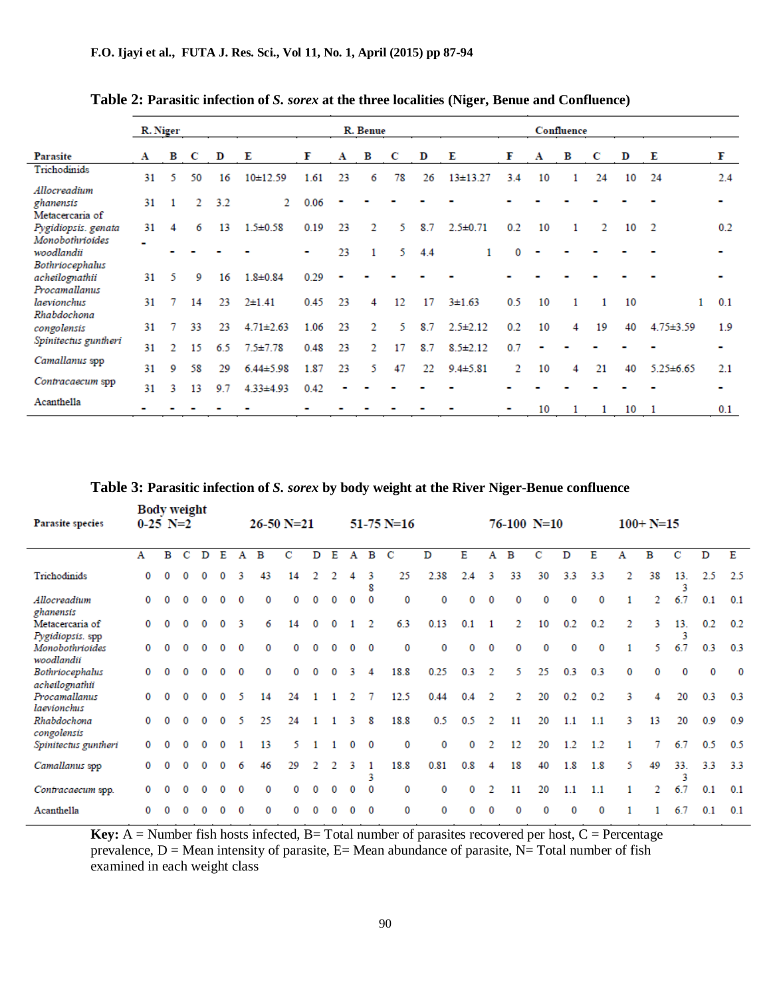|                                        | R. Niger |               |               |           |                                    | R. Benue     |    |    |    |     |                |     |    | Confluence |                |    |                 |     |  |  |
|----------------------------------------|----------|---------------|---------------|-----------|------------------------------------|--------------|----|----|----|-----|----------------|-----|----|------------|----------------|----|-----------------|-----|--|--|
| Parasite                               | A        | в             | C             | D         | Е                                  | F            | A  | в  | C  | D   | Е              | F   | A  | в          | C              | D  | Е               | F   |  |  |
| Trichodinids<br>Allocreadium           | 31       | 5             | 50            | 16        | 10±12.59                           | 1.61         | 23 | 6  | 78 | 26  | $13+13.27$     | 3.4 | 10 |            | 24             | 10 | 24              | 2.4 |  |  |
| ghanensis<br>Metacercaria of           | 31       |               | $\mathcal{D}$ | 3.2       | $\mathcal{L}$                      | 0.06         |    |    |    |     |                |     |    |            |                |    |                 |     |  |  |
| Pygidiopsis. genata<br>Monobothrioides | 31       |               | 6             | 13        | $1.5 \pm 0.58$                     | 0.19         | 23 | 2  | 5. | 8.7 | $2.5 \pm 0.71$ | 0.2 | 10 |            | $\overline{2}$ | 10 | $\overline{2}$  | 0.2 |  |  |
| woodlandii<br>Bothriocephalus          |          |               |               |           |                                    |              | 23 | 1  | 5. | 4.4 |                | 0   |    |            |                |    |                 |     |  |  |
| acheilognathii<br>Procamallanus        | 31       | 5.            | 9             | 16        | $1.8 \pm 0.84$                     | 0.29         |    |    |    |     |                |     |    |            |                |    |                 |     |  |  |
| laevionchus<br>Rhabdochona             | 31       | 7             | 14            | 23        | $2+1.41$                           | 0.45         | 23 | 4  | 12 | 17  | $3 + 1.63$     | 0.5 | 10 |            | 1              | 10 |                 | 0.1 |  |  |
| congolensis<br>Spinitectus guntheri    | 31       |               | 33            | 23        | $4.71 \pm 2.63$                    | 1.06         | 23 | 2  | 5. | 8.7 | $2.5 \pm 2.12$ | 0.2 | 10 | 4          | 19             | 40 | $4.75 \pm 3.59$ | 1.9 |  |  |
| Camallanus spp                         | 31       | $\mathcal{L}$ | 15            | 6.5       | $7.5 \pm 7.78$                     | 0.48         | 23 | 2  | 17 | 8.7 | $8.5 \pm 2.12$ | 0.7 |    |            |                |    |                 |     |  |  |
| Contracaecum spp                       | 31<br>31 | 9<br>3        | 58<br>13      | 29<br>9.7 | $6.44 \pm 5.98$<br>$4.33 \pm 4.93$ | 1.87<br>0.42 | 23 | 5. | 47 | 22  | $9.4 \pm 5.81$ | 2   | 10 | 4          | 21             | 40 | $5.25 \pm 6.65$ | 2.1 |  |  |
| Acanthella                             |          |               |               |           |                                    |              |    |    |    |     |                |     | 10 |            |                | 10 | $\mathbf{1}$    | 0.1 |  |  |

**Table 2: Parasitic infection of** *S. sorex* **at the three localities (Niger, Benue and Confluence)**

### **Table 3: Parasitic infection of** *S. sorex* **by body weight at the River Niger-Benue confluence**

| Parasite species                    | <b>Body weight</b><br>$0-25$ N=2 |   |   |              |          | $51-75$ N=16<br>$26-50 N=21$ |    |    |   |          |          |          |          |          |     |          | $76-100$ N=10 |          | $100+ N=15$ |          |          |    |          |          |          |
|-------------------------------------|----------------------------------|---|---|--------------|----------|------------------------------|----|----|---|----------|----------|----------|----------|----------|-----|----------|---------------|----------|-------------|----------|----------|----|----------|----------|----------|
|                                     | А                                | в | С | D            | Е        | Α                            | в  | с  | D | E        | А        | в        | С        | D        | Е   | Α        | в             | с        | D           | Е        | А        | в  | с        | D        | Ε        |
| Trichodinids                        | 0                                | 0 | 0 | $\Omega$     | $\Omega$ | 3                            | 43 | 14 |   |          |          | 3<br>8   | 25       | 2.38     | 2.4 | 3        | 33            | 30       | 3.3         | 3.3      | 2        | 38 | 13.<br>3 | 2.5      | 2.5      |
| Allocreadium<br>ghanensis           | 0                                |   |   | $\Omega$     |          | $\Omega$                     |    | 0  |   |          |          |          | $\bf{0}$ | $\bf{0}$ | 0   | $\bf{0}$ | $\Omega$      | $\Omega$ | $\Omega$    | $\Omega$ |          | 2  | 6.7      | 0.1      | 0.1      |
| Metacercaria of<br>Pygidiopsis. spp | 0                                | 0 | 0 | $\bf{0}$     | 0        | 3                            | 6  | 14 | 0 | $\Omega$ |          |          | 6.3      | 0.13     | 0.1 |          | 2             | 10       | 0.2         | 0.2      | 2        | 3  | 13.<br>3 | 0.2      | 0.2      |
| Monobothrioides<br>woodlandii       | 0                                |   |   |              |          | $\Omega$                     |    |    |   |          | $\Omega$ | $\Omega$ | 0        | $\bf{0}$ | 0   | $\bf{0}$ | $\Omega$      | 0        | $\Omega$    | $\Omega$ | 1        | 5  | 6.7      | 0.3      | 0.3      |
| Bothriocephalus<br>acheilognathii   | 0                                |   |   |              |          | $\Omega$                     |    |    |   |          |          | 4        | 18.8     | 0.25     | 0.3 | 2        | 5             | 25       | 0.3         | 0.3      | $\bf{0}$ | 0  | $\Omega$ | $\bf{0}$ | $\bf{0}$ |
| Procamallanus<br>laevionchus        | 0                                | 0 | 0 | $\mathbf{0}$ | $\bf{0}$ | 5                            | 14 | 24 |   |          |          |          | 12.5     | 0.44     | 0.4 | 2        | 2             | 20       | 0.2         | 0.2      | 3        | 4  | 20       | 0.3      | 0.3      |
| Rhabdochona<br>congolensis          | 0                                |   |   | $\bf{0}$     | $\bf{0}$ | 5                            | 25 | 24 |   |          | 3        | 8        | 18.8     | 0.5      | 0.5 | 2        | 11            | 20       | 1.1         | 1.1      | 3        | 13 | 20       | 0.9      | 0.9      |
| Spinitectus guntheri                | 0                                |   |   |              |          |                              | 13 | 5. |   |          | 0        | 0        | 0        | 0        | 0   | 2        | 12            | 20       | 1.2         | 1.2      |          |    | 6.7      | 0.5      | 0.5      |
| Camallanus spp                      | 0                                | 0 |   |              |          | 6                            | 46 | 29 |   |          |          | 3        | 18.8     | 0.81     | 0.8 | 4        | 18            | 40       | 1.8         | 1.8      | 5.       | 49 | 33.<br>3 | 3.3      | 3.3      |
| Contracaecum spp.                   | 0                                |   |   | $\bf{0}$     |          | $\Omega$                     | 0  | 0  | 0 | 0        | 0        | $\Omega$ | 0        | 0        | 0   | 2        | 11            | 20       | 1.1         | 1.1      | 1        | 2  | 6.7      | 0.1      | 0.1      |
| Acanthella                          | 0                                |   |   |              |          |                              |    |    |   |          |          |          | 0        | $\Omega$ |     |          |               |          | 0           | 0        |          |    | 6.7      | 0.1      | 0.1      |

**Key:** A = Number fish hosts infected, B = Total number of parasites recovered per host,  $C =$  Percentage prevalence,  $D =$  Mean intensity of parasite,  $E =$  Mean abundance of parasite,  $N =$  Total number of fish examined in each weight class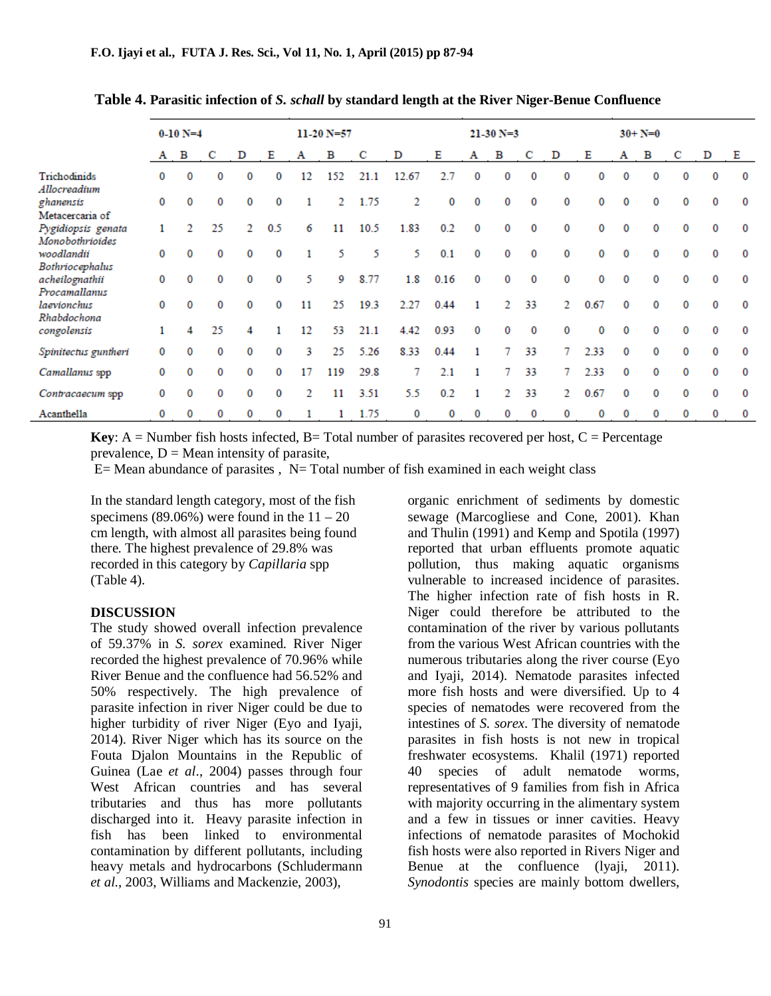|                                       |   | $0-10 N=4$ |    |          |     | $11-20 N=57$ |     |      |       |      |              | $21-30 N=3$    |    |   |          | $30 + N = 0$ |   |   |   |   |  |  |  |
|---------------------------------------|---|------------|----|----------|-----|--------------|-----|------|-------|------|--------------|----------------|----|---|----------|--------------|---|---|---|---|--|--|--|
|                                       | A | в          | с  | D        | Е   | A            | в   | C    | D     | Е    | A            | в              |    | D | Е        | A            | в | С | D | Е |  |  |  |
| Trichodinids<br>Allocreadium          | 0 | 0          |    | 0        | 0   | 12           | 152 | 21.1 | 12.67 | 2.7  | 0            |                | 0  | 0 | 0        | 0            | 0 | 0 | 0 | 0 |  |  |  |
| ghanensis                             | 0 | 0          | 0  | $\Omega$ | 0   |              | 2   | 1.75 | 2     | 0    | $\Omega$     |                | 0  | 0 | $\Omega$ | $\Omega$     | 0 | 0 | 0 | 0 |  |  |  |
| Metacercaria of                       |   |            |    |          |     |              |     |      |       |      |              |                |    |   |          |              |   |   |   |   |  |  |  |
| Pygidiopsis genata<br>Monobothrioides |   |            | 25 | 2        | 0.5 | 6            | 11  | 10.5 | 1.83  | 0.2  | $\mathbf{0}$ |                | 0  | 0 | 0        | 0            | 0 | 0 | 0 | 0 |  |  |  |
| woodlandii                            | 0 | 0          | 0  | 0        | 0   |              | 5   | 5    | 5.    | 0.1  | 0            | 0              | 0  | 0 | 0        | 0            | 0 | 0 | 0 | 0 |  |  |  |
| Bothriocephalus                       |   |            |    |          |     |              |     |      |       |      |              |                |    |   |          |              |   |   |   |   |  |  |  |
| acheilognathii                        | 0 | 0          | 0  | 0        | 0   | 5            | 9   | 8.77 | 1.8   | 0.16 | $\Omega$     | 0              | 0  | 0 | 0        | 0            | 0 | 0 | 0 | 0 |  |  |  |
| Procamallanus                         |   |            |    |          |     |              |     |      |       |      |              |                |    |   |          |              |   |   |   |   |  |  |  |
| laevionchus                           | 0 | 0          | 0  | 0        | 0   | 11           | 25  | 19.3 | 2.27  | 0.44 | 1            | $\mathfrak{D}$ | 33 | 2 | 0.67     | 0            | 0 | 0 | 0 | 0 |  |  |  |
| Rhabdochona                           |   |            |    |          |     |              |     |      |       |      |              |                |    |   |          |              |   |   |   |   |  |  |  |
| congolensis                           | 1 | 4          | 25 |          |     | 12           | 53  | 21.1 | 4.42  | 0.93 | $\Omega$     |                | 0  | 0 | $\Omega$ | 0            | 0 | 0 | 0 | 0 |  |  |  |
| Spinitectus guntheri                  | 0 | 0          |    | 0        | 0   | 3            | 25  | 5.26 | 8.33  | 0.44 |              |                | 33 | 7 | 2.33     | 0            | 0 | 0 | 0 | 0 |  |  |  |
| Camallanus spp                        | 0 | 0          |    | 0        | 0   | 17           | 119 | 29.8 | 7     | 2.1  |              |                | 33 |   | 2.33     | 0            | 0 | 0 | 0 | 0 |  |  |  |
| Contracaecum spp                      | 0 | 0          | 0  | 0        | 0   | 2            | 11  | 3.51 | 5.5   | 0.2  |              | 2              | 33 | 2 | 0.67     | 0            | 0 | 0 | 0 | 0 |  |  |  |
| Acanthella                            | 0 | 0          | 0  | 0        | 0   |              |     | 1.75 | 0     | 0    | 0            | 0              | 0  | 0 | 0        | 0            | 0 | 0 | 0 | 0 |  |  |  |

 **Table 4. Parasitic infection of** *S. schall* **by standard length at the River Niger-Benue Confluence**

**Key**: A = Number fish hosts infected, B = Total number of parasites recovered per host, C = Percentage prevalence,  $D = Mean$  intensity of parasite,

 $E=$  Mean abundance of parasites ,  $N=$  Total number of fish examined in each weight class

In the standard length category, most of the fish specimens (89.06%) were found in the  $11 - 20$ cm length, with almost all parasites being found there. The highest prevalence of 29.8% was recorded in this category by *Capillaria* spp (Table 4).

#### **DISCUSSION**

The study showed overall infection prevalence of 59.37% in *S. sorex* examined. River Niger recorded the highest prevalence of 70.96% while River Benue and the confluence had 56.52% and 50% respectively. The high prevalence of parasite infection in river Niger could be due to higher turbidity of river Niger (Eyo and Iyaji*,* 2014). River Niger which has its source on the Fouta Djalon Mountains in the Republic of Guinea (Lae *et al*., 2004) passes through four West African countries and has several tributaries and thus has more pollutants discharged into it. Heavy parasite infection in fish has been linked to environmental contamination by different pollutants, including heavy metals and hydrocarbons (Schludermann *et al.*, 2003, Williams and Mackenzie, 2003),

organic enrichment of sediments by domestic sewage (Marcogliese and Cone, 2001). Khan and Thulin (1991) and Kemp and Spotila (1997) reported that urban effluents promote aquatic pollution, thus making aquatic organisms vulnerable to increased incidence of parasites. The higher infection rate of fish hosts in R. Niger could therefore be attributed to the contamination of the river by various pollutants from the various West African countries with the numerous tributaries along the river course (Eyo and Iyaji, 2014). Nematode parasites infected more fish hosts and were diversified. Up to 4 species of nematodes were recovered from the intestines of *S. sorex*. The diversity of nematode parasites in fish hosts is not new in tropical freshwater ecosystems. Khalil (1971) reported 40 species of adult nematode worms, representatives of 9 families from fish in Africa with majority occurring in the alimentary system and a few in tissues or inner cavities. Heavy infections of nematode parasites of Mochokid fish hosts were also reported in Rivers Niger and Benue at the confluence (lyaji, 2011). *Synodontis* species are mainly bottom dwellers,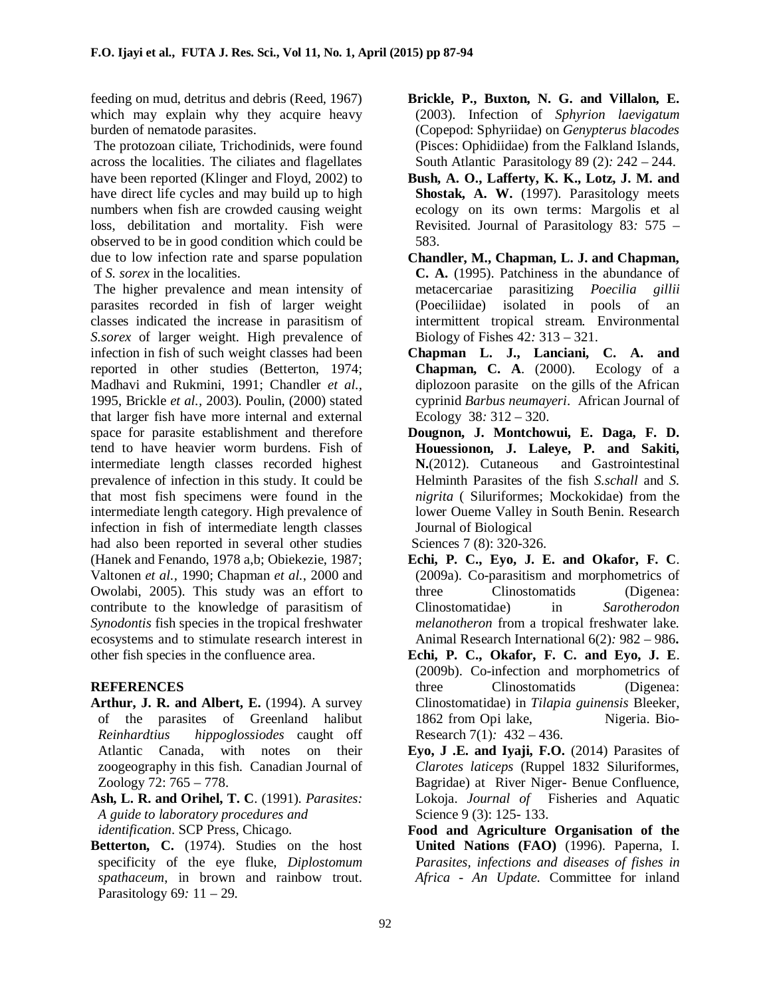feeding on mud, detritus and debris (Reed, 1967) which may explain why they acquire heavy burden of nematode parasites.

 The protozoan ciliate, Trichodinids, were found across the localities. The ciliates and flagellates have been reported (Klinger and Floyd, 2002) to have direct life cycles and may build up to high numbers when fish are crowded causing weight loss, debilitation and mortality. Fish were observed to be in good condition which could be due to low infection rate and sparse population of *S. sorex* in the localities.

The higher prevalence and mean intensity of parasites recorded in fish of larger weight classes indicated the increase in parasitism of *S.sorex* of larger weight. High prevalence of infection in fish of such weight classes had been reported in other studies (Betterton, 1974; Madhavi and Rukmini, 1991; Chandler *et al.,* 1995, Brickle *et al.,* 2003). Poulin, (2000) stated that larger fish have more internal and external space for parasite establishment and therefore tend to have heavier worm burdens. Fish of intermediate length classes recorded highest prevalence of infection in this study. It could be that most fish specimens were found in the intermediate length category. High prevalence of infection in fish of intermediate length classes had also been reported in several other studies (Hanek and Fenando, 1978 a,b; Obiekezie, 1987; Valtonen *et al.,* 1990; Chapman *et al.*, 2000 and Owolabi, 2005). This study was an effort to contribute to the knowledge of parasitism of *Synodontis* fish species in the tropical freshwater ecosystems and to stimulate research interest in other fish species in the confluence area.

## **REFERENCES**

- **Arthur, J. R. and Albert, E.** (1994). A survey of the parasites of Greenland halibut *Reinhardtius hippoglossiodes* caught off Atlantic Canada, with notes on their zoogeography in this fish. Canadian Journal of Zoology 72: 765 – 778.
- **Ash, L. R. and Orihel, T. C**. (1991). *Parasites: A guide to laboratory procedures and identification*. SCP Press, Chicago.
- Betterton, C. (1974). Studies on the host specificity of the eye fluke, *Diplostomum spathaceum*, in brown and rainbow trout. Parasitology 69*:* 11 – 29.
- **Brickle, P., Buxton, N. G. and Villalon, E.** (2003). Infection of *Sphyrion laevigatum*  (Copepod: Sphyriidae) on *Genypterus blacodes*  (Pisces: Ophidiidae) from the Falkland Islands, South Atlantic Parasitology 89 (2)*:* 242 – 244.
- **Bush, A. O., Lafferty, K. K., Lotz, J. M. and Shostak, A. W.** (1997). Parasitology meets ecology on its own terms: Margolis et al Revisited. Journal of Parasitology 83*:* 575 – 583.
- **Chandler, M., Chapman, L. J. and Chapman, C. A.** (1995). Patchiness in the abundance of metacercariae parasitizing *Poecilia gillii* (Poeciliidae) isolated in pools of an intermittent tropical stream*.* Environmental Biology of Fishes 42*:* 313 – 321.
- **Chapman L. J., Lanciani, C. A. and Chapman, C. A**. (2000). Ecology of a diplozoon parasite on the gills of the African cyprinid *Barbus neumayeri*. African Journal of Ecology 38*:* 312 – 320.
- **Dougnon, J. Montchowui, E. Daga, F. D. Houessionon, J. Laleye, P. and Sakiti, N.**(2012). Cutaneous and Gastrointestinal Helminth Parasites of the fish *S.schall* and *S. nigrita* ( Siluriformes; Mockokidae) from the lower Oueme Valley in South Benin. Research Journal of Biological
- Sciences 7 (8): 320-326. **Echi, P. C., Eyo, J. E. and Okafor, F. C**. (2009a). Co-parasitism and morphometrics of
- three Clinostomatids (Digenea: Clinostomatidae) in *Sarotherodon melanotheron* from a tropical freshwater lake. Animal Research International 6(2)*:* 982 – 986**.**
- **Echi, P. C., Okafor, F. C. and Eyo, J. E**. (2009b). Co-infection and morphometrics of three Clinostomatids (Digenea: Clinostomatidae) in *Tilapia guinensis* Bleeker, 1862 from Opi lake, Nigeria. Bio-Research 7(1)*:* 432 – 436.
- **Eyo, J .E. and Iyaji, F.O.** (2014) Parasites of *Clarotes laticeps* (Ruppel 1832 Siluriformes, Bagridae) at River Niger- Benue Confluence, Lokoja. *Journal of* Fisheries and Aquatic Science 9 (3): 125- 133.
- **Food and Agriculture Organisation of the United Nations (FAO)** (1996). Paperna, I. *Parasites, infections and diseases of fishes in Africa - An Update.* Committee for inland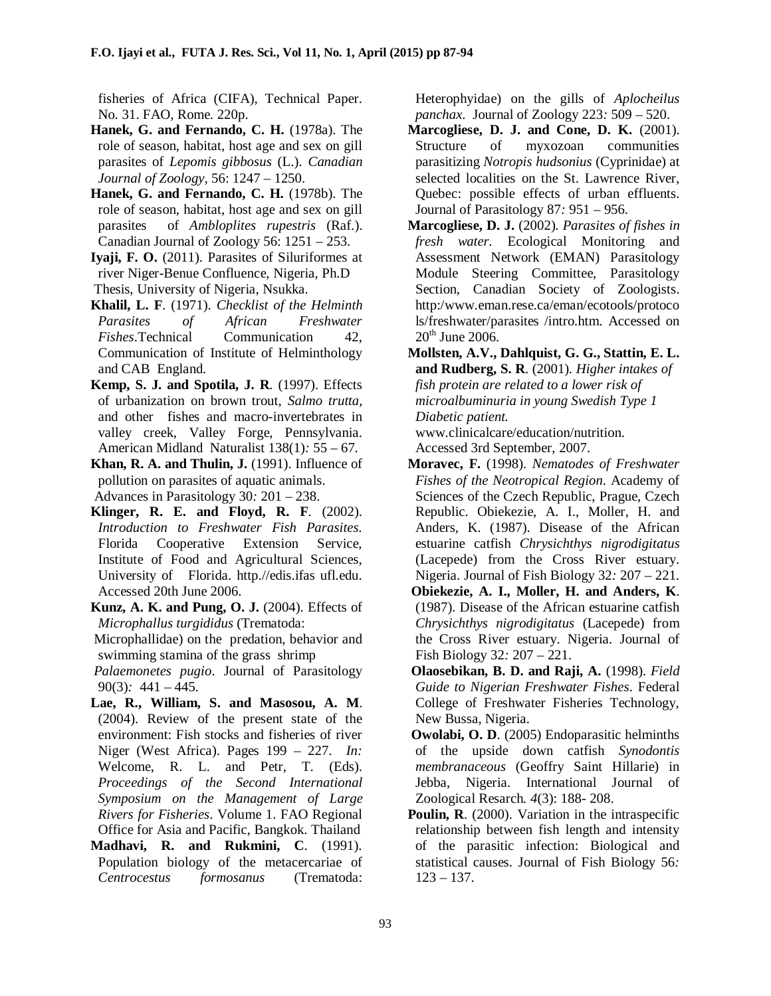fisheries of Africa (CIFA), Technical Paper. No. 31. FAO, Rome. 220p.

- **Hanek, G. and Fernando, C. H.** (1978a). The role of season, habitat, host age and sex on gill parasites of *Lepomis gibbosus* (L.). *Canadian Journal of Zoology,* 56: 1247 – 1250.
- **Hanek, G. and Fernando, C. H.** (1978b). The role of season, habitat, host age and sex on gill parasites of *Ambloplites rupestris* (Raf.). Canadian Journal of Zoology 56: 1251 – 253.
- **Iyaji, F. O.** (2011). Parasites of Siluriformes at river Niger-Benue Confluence, Nigeria, Ph.D Thesis, University of Nigeria, Nsukka.
- **Khalil, L. F**. (1971). *Checklist of the Helminth Parasites of African Freshwater Fishes*.Technical Communication 42, Communication of Institute of Helminthology and CAB England.
- **Kemp, S. J. and Spotila, J. R**. (1997). Effects of urbanization on brown trout, *Salmo trutta,* and other fishes and macro-invertebrates in valley creek, Valley Forge, Pennsylvania. American Midland Naturalist 138(1)*:* 55 – 67.
- **Khan, R. A. and Thulin, J.** (1991). Influence of pollution on parasites of aquatic animals. Advances in Parasitology 30*:* 201 – 238.
- **Klinger, R. E. and Floyd, R. F**. (2002). *Introduction to Freshwater Fish Parasites.* Florida Cooperative Extension Service, Institute of Food and Agricultural Sciences, University of Florida. http.//edis.ifas ufl.edu. Accessed 20th June 2006.
- **Kunz, A. K. and Pung, O. J.** (2004). Effects of *Microphallus turgididus* (Trematoda:

Microphallidae) on the predation, behavior and swimming stamina of the grass shrimp

*Palaemonetes pugio*. Journal of Parasitology 90(3)*:* 441 – 445.

- **Lae, R., William, S. and Masosou, A. M**. (2004). Review of the present state of the environment: Fish stocks and fisheries of river Niger (West Africa). Pages 199 – 227. *In:* Welcome, R. L. and Petr, T. (Eds). *Proceedings of the Second International Symposium on the Management of Large Rivers for Fisheries*. Volume 1. FAO Regional Office for Asia and Pacific, Bangkok. Thailand
- **Madhavi, R. and Rukmini, C**. (1991). Population biology of the metacercariae of *Centrocestus formosanus* (Trematoda:

Heterophyidae) on the gills of *Aplocheilus panchax*. Journal of Zoology 223*:* 509 – 520.

- **Marcogliese, D. J. and Cone, D. K.** (2001). Structure of myxozoan communities parasitizing *Notropis hudsonius* (Cyprinidae) at selected localities on the St. Lawrence River, Quebec: possible effects of urban effluents. Journal of Parasitology 87*:* 951 – 956.
- **Marcogliese, D. J.** (2002). *Parasites of fishes in fresh water.* Ecological Monitoring and Assessment Network (EMAN) Parasitology Module Steering Committee, Parasitology Section, Canadian Society of Zoologists. http:/www.eman.rese.ca/eman/ecotools/protoco ls/freshwater/parasites /intro.htm. Accessed on  $20<sup>th</sup>$  June 2006.
- **Mollsten, A.V., Dahlquist, G. G., Stattin, E. L. and Rudberg, S. R**. (2001). *Higher intakes of fish protein are related to a lower risk of microalbuminuria in young Swedish Type 1 Diabetic patient.*

www.clinicalcare/education/nutrition. Accessed 3rd September, 2007.

- **Moravec, F.** (1998). *Nematodes of Freshwater Fishes of the Neotropical Region*. Academy of Sciences of the Czech Republic, Prague, Czech Republic. Obiekezie, A. I., Moller, H. and Anders, K. (1987). Disease of the African estuarine catfish *Chrysichthys nigrodigitatus* (Lacepede) from the Cross River estuary. Nigeria. Journal of Fish Biology 32*:* 207 – 221.
- **Obiekezie, A. I., Moller, H. and Anders, K**. (1987). Disease of the African estuarine catfish *Chrysichthys nigrodigitatus* (Lacepede) from the Cross River estuary. Nigeria. Journal of Fish Biology 32*:* 207 – 221.
- **Olaosebikan, B. D. and Raji, A.** (1998). *Field Guide to Nigerian Freshwater Fishes*. Federal College of Freshwater Fisheries Technology, New Bussa, Nigeria.
- **Owolabi, O. D**. (2005) Endoparasitic helminths of the upside down catfish *Synodontis membranaceous* (Geoffry Saint Hillarie) in Jebba, Nigeria. International Journal of Zoological Resarch*. 4*(3): 188- 208.
- **Poulin, R**. (2000). Variation in the intraspecific relationship between fish length and intensity of the parasitic infection: Biological and statistical causes. Journal of Fish Biology 56*:* 123 – 137.